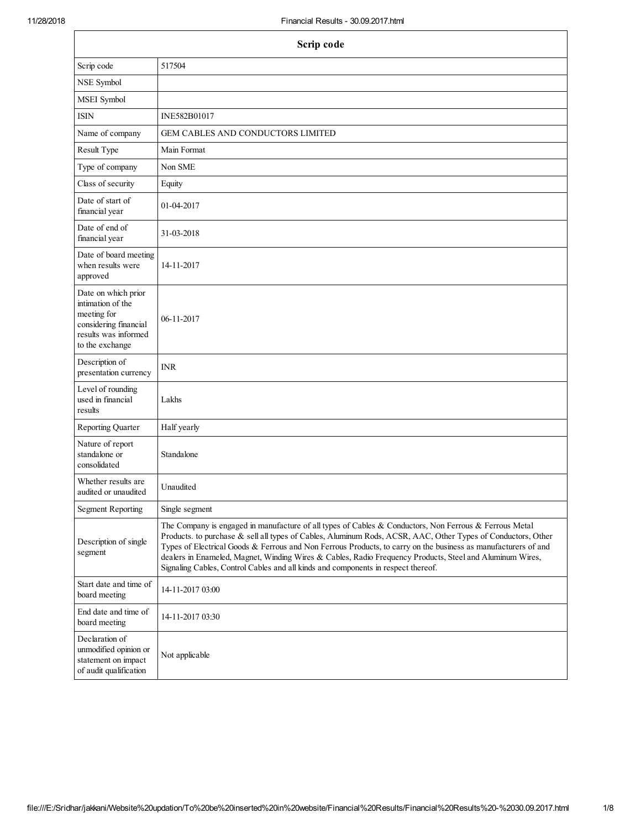| Scrip code                                                                                                                  |                                                                                                                                                                                                                                                                                                                                                                                                                                                                                                                                           |  |  |
|-----------------------------------------------------------------------------------------------------------------------------|-------------------------------------------------------------------------------------------------------------------------------------------------------------------------------------------------------------------------------------------------------------------------------------------------------------------------------------------------------------------------------------------------------------------------------------------------------------------------------------------------------------------------------------------|--|--|
| Scrip code                                                                                                                  | 517504                                                                                                                                                                                                                                                                                                                                                                                                                                                                                                                                    |  |  |
| NSE Symbol                                                                                                                  |                                                                                                                                                                                                                                                                                                                                                                                                                                                                                                                                           |  |  |
| MSEI Symbol                                                                                                                 |                                                                                                                                                                                                                                                                                                                                                                                                                                                                                                                                           |  |  |
| <b>ISIN</b>                                                                                                                 | INE582B01017                                                                                                                                                                                                                                                                                                                                                                                                                                                                                                                              |  |  |
| Name of company                                                                                                             | <b>GEM CABLES AND CONDUCTORS LIMITED</b>                                                                                                                                                                                                                                                                                                                                                                                                                                                                                                  |  |  |
| Result Type                                                                                                                 | Main Format                                                                                                                                                                                                                                                                                                                                                                                                                                                                                                                               |  |  |
| Type of company                                                                                                             | Non SME                                                                                                                                                                                                                                                                                                                                                                                                                                                                                                                                   |  |  |
| Class of security                                                                                                           | Equity                                                                                                                                                                                                                                                                                                                                                                                                                                                                                                                                    |  |  |
| Date of start of<br>financial year                                                                                          | 01-04-2017                                                                                                                                                                                                                                                                                                                                                                                                                                                                                                                                |  |  |
| Date of end of<br>financial year                                                                                            | 31-03-2018                                                                                                                                                                                                                                                                                                                                                                                                                                                                                                                                |  |  |
| Date of board meeting<br>when results were<br>approved                                                                      | 14-11-2017                                                                                                                                                                                                                                                                                                                                                                                                                                                                                                                                |  |  |
| Date on which prior<br>intimation of the<br>meeting for<br>considering financial<br>results was informed<br>to the exchange | 06-11-2017                                                                                                                                                                                                                                                                                                                                                                                                                                                                                                                                |  |  |
| Description of<br>presentation currency                                                                                     | <b>INR</b>                                                                                                                                                                                                                                                                                                                                                                                                                                                                                                                                |  |  |
| Level of rounding<br>used in financial<br>results                                                                           | Lakhs                                                                                                                                                                                                                                                                                                                                                                                                                                                                                                                                     |  |  |
| Reporting Quarter                                                                                                           | Half yearly                                                                                                                                                                                                                                                                                                                                                                                                                                                                                                                               |  |  |
| Nature of report<br>standalone or<br>consolidated                                                                           | Standalone                                                                                                                                                                                                                                                                                                                                                                                                                                                                                                                                |  |  |
| Whether results are<br>audited or unaudited                                                                                 | Unaudited                                                                                                                                                                                                                                                                                                                                                                                                                                                                                                                                 |  |  |
| <b>Segment Reporting</b>                                                                                                    | Single segment                                                                                                                                                                                                                                                                                                                                                                                                                                                                                                                            |  |  |
| Description of single<br>segment                                                                                            | The Company is engaged in manufacture of all types of Cables & Conductors, Non Ferrous & Ferrous Metal<br>Products. to purchase & sell all types of Cables, Aluminum Rods, ACSR, AAC, Other Types of Conductors, Other<br>Types of Electrical Goods & Ferrous and Non Ferrous Products, to carry on the business as manufacturers of and<br>dealers in Enameled, Magnet, Winding Wires & Cables, Radio Frequency Products, Steel and Aluminum Wires,<br>Signaling Cables, Control Cables and all kinds and components in respect thereof. |  |  |
| Start date and time of<br>board meeting                                                                                     | 14-11-2017 03:00                                                                                                                                                                                                                                                                                                                                                                                                                                                                                                                          |  |  |
| End date and time of<br>board meeting                                                                                       | 14-11-2017 03:30                                                                                                                                                                                                                                                                                                                                                                                                                                                                                                                          |  |  |
| Declaration of<br>unmodified opinion or<br>statement on impact<br>of audit qualification                                    | Not applicable                                                                                                                                                                                                                                                                                                                                                                                                                                                                                                                            |  |  |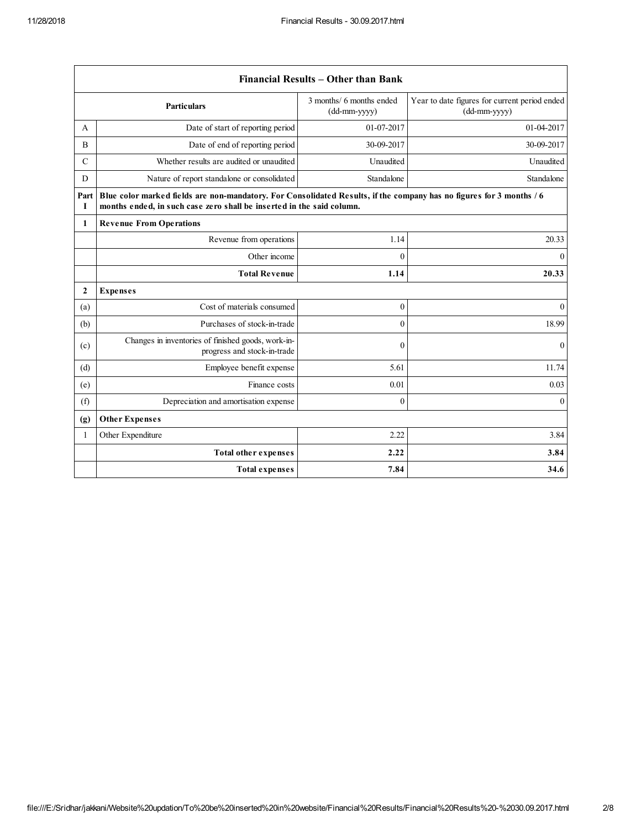$\mathbf{r}$ 

|               | Financial Results - Other than Bank                                                                                                                                                           |                                            |                                                               |
|---------------|-----------------------------------------------------------------------------------------------------------------------------------------------------------------------------------------------|--------------------------------------------|---------------------------------------------------------------|
|               | <b>Particulars</b>                                                                                                                                                                            | 3 months/ 6 months ended<br>$(dd-mm-yyyy)$ | Year to date figures for current period ended<br>(dd-mm-yyyy) |
| A             | Date of start of reporting period                                                                                                                                                             | 01-07-2017                                 | 01-04-2017                                                    |
| B             | Date of end of reporting period                                                                                                                                                               | 30-09-2017                                 | 30-09-2017                                                    |
| $\mathcal{C}$ | Whether results are audited or unaudited                                                                                                                                                      | Unaudited                                  | Unaudited                                                     |
| D             | Nature of report standalone or consolidated                                                                                                                                                   | Standalone                                 | Standalone                                                    |
| Part<br>1     | Blue color marked fields are non-mandatory. For Consolidated Results, if the company has no figures for 3 months / 6<br>months ended, in such case zero shall be inserted in the said column. |                                            |                                                               |
| 1             | <b>Revenue From Operations</b>                                                                                                                                                                |                                            |                                                               |
|               | Revenue from operations                                                                                                                                                                       | 1.14                                       | 20.33                                                         |
|               | Other income                                                                                                                                                                                  | $\Omega$                                   | $\theta$                                                      |
|               | <b>Total Revenue</b>                                                                                                                                                                          | 1.14                                       | 20.33                                                         |
| $\mathbf{2}$  | <b>Expenses</b>                                                                                                                                                                               |                                            |                                                               |
| (a)           | Cost of materials consumed                                                                                                                                                                    | $\mathbf{0}$                               | $\theta$                                                      |
| (b)           | Purchases of stock-in-trade                                                                                                                                                                   | $\theta$                                   | 18.99                                                         |
| (c)           | Changes in inventories of finished goods, work-in-<br>progress and stock-in-trade                                                                                                             | $\mathbf{0}$                               | $\mathbf{0}$                                                  |
| (d)           | Employee benefit expense                                                                                                                                                                      | 5.61                                       | 11.74                                                         |
| (e)           | Finance costs                                                                                                                                                                                 | 0.01                                       | 0.03                                                          |
| (f)           | Depreciation and amortisation expense                                                                                                                                                         | $\mathbf{0}$                               | $\theta$                                                      |
| (g)           | <b>Other Expenses</b>                                                                                                                                                                         |                                            |                                                               |
| 1             | Other Expenditure                                                                                                                                                                             | 2.22                                       | 3.84                                                          |
|               | <b>Total other expenses</b>                                                                                                                                                                   | 2.22                                       | 3.84                                                          |
|               | <b>Total expenses</b>                                                                                                                                                                         | 7.84                                       | 34.6                                                          |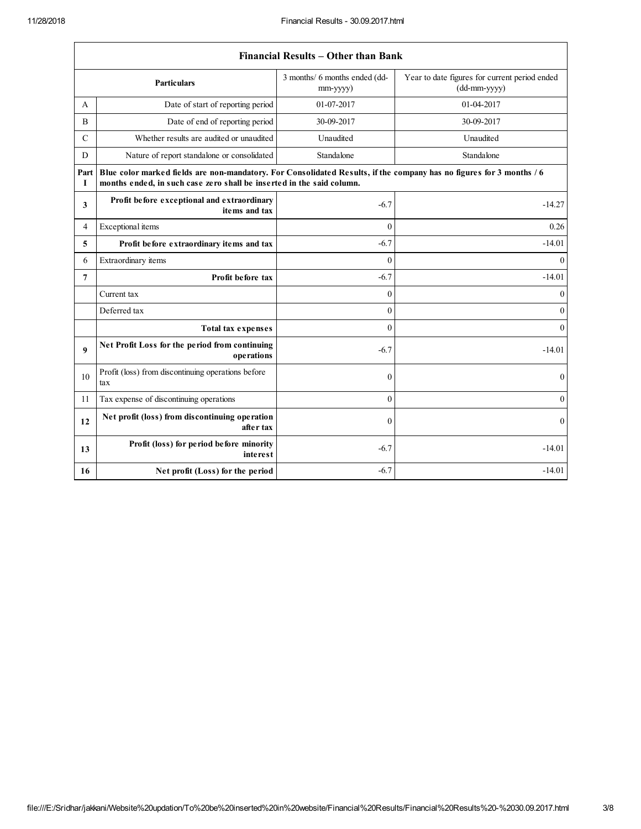$\sqrt{ }$ 

|                | Financial Results – Other than Bank                                                                                                                                                           |                                                 |                                                                 |  |
|----------------|-----------------------------------------------------------------------------------------------------------------------------------------------------------------------------------------------|-------------------------------------------------|-----------------------------------------------------------------|--|
|                | <b>Particulars</b>                                                                                                                                                                            | 3 months/ 6 months ended (dd-<br>$mm$ -yyyy $)$ | Year to date figures for current period ended<br>$(dd-mm-yyyy)$ |  |
| A              | Date of start of reporting period                                                                                                                                                             | 01-07-2017                                      | 01-04-2017                                                      |  |
| B              | Date of end of reporting period                                                                                                                                                               | 30-09-2017                                      | 30-09-2017                                                      |  |
| $\mathbf C$    | Whether results are audited or unaudited                                                                                                                                                      | Unaudited                                       | Unaudited                                                       |  |
| D              | Nature of report standalone or consolidated                                                                                                                                                   | Standalone                                      | Standalone                                                      |  |
| Part<br>1      | Blue color marked fields are non-mandatory. For Consolidated Results, if the company has no figures for 3 months / 6<br>months ended, in such case zero shall be inserted in the said column. |                                                 |                                                                 |  |
| 3              | Profit before exceptional and extraordinary<br>items and tax                                                                                                                                  | $-6.7$                                          | $-14.27$                                                        |  |
| 4              | Exceptional items                                                                                                                                                                             | $\theta$                                        | 0.26                                                            |  |
| 5              | Profit before extraordinary items and tax                                                                                                                                                     | $-6.7$                                          | $-14.01$                                                        |  |
| 6              | Extraordinary items                                                                                                                                                                           | $\theta$                                        | $\theta$                                                        |  |
| $\overline{7}$ | Profit before tax                                                                                                                                                                             | $-6.7$                                          | $-14.01$                                                        |  |
|                | Current tax                                                                                                                                                                                   | $\theta$                                        | $\mathbf{0}$                                                    |  |
|                | Deferred tax                                                                                                                                                                                  | $\theta$                                        | $\mathbf{0}$                                                    |  |
|                | <b>Total tax expenses</b>                                                                                                                                                                     | $\theta$                                        | $\mathbf{0}$                                                    |  |
| 9              | Net Profit Loss for the period from continuing<br>operations                                                                                                                                  | $-6.7$                                          | $-14.01$                                                        |  |
| 10             | Profit (loss) from discontinuing operations before<br>tax                                                                                                                                     | $\mathbf{0}$                                    | $\mathbf{0}$                                                    |  |
| 11             | Tax expense of discontinuing operations                                                                                                                                                       | $\mathbf{0}$                                    | $\overline{0}$                                                  |  |
| 12             | Net profit (loss) from discontinuing operation<br>after tax                                                                                                                                   | $\theta$                                        | $\overline{0}$                                                  |  |
| 13             | Profit (loss) for period before minority<br><i>interest</i>                                                                                                                                   | $-6.7$                                          | $-14.01$                                                        |  |
| 16             | Net profit (Loss) for the period                                                                                                                                                              | $-6.7$                                          | $-14.01$                                                        |  |

## Financial Results – Other than Bank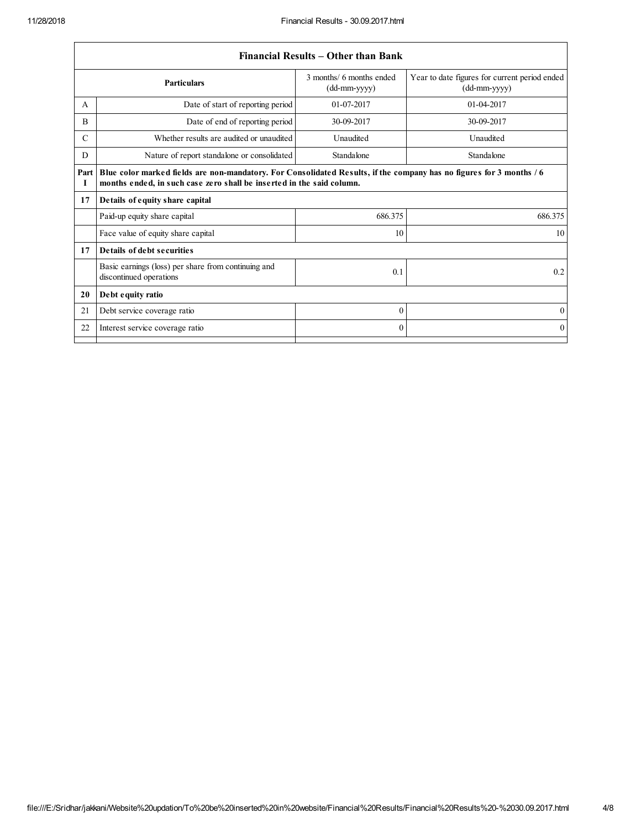$\sqrt{ }$ 

|               | Financial Results – Other than Bank                                                                                                                                                           |                                            |                                                                                   |  |
|---------------|-----------------------------------------------------------------------------------------------------------------------------------------------------------------------------------------------|--------------------------------------------|-----------------------------------------------------------------------------------|--|
|               | <b>Particulars</b>                                                                                                                                                                            | 3 months/ 6 months ended<br>$(dd-mm-yyyy)$ | Year to date figures for current period ended<br>$(dd{\text{-}\!\text{mm-}}yyyy)$ |  |
| A             | Date of start of reporting period                                                                                                                                                             | $01-07-2017$                               | $01-04-2017$                                                                      |  |
| B             | Date of end of reporting period                                                                                                                                                               | 30-09-2017                                 | 30-09-2017                                                                        |  |
| $\mathcal{C}$ | Whether results are audited or unaudited                                                                                                                                                      | Unaudited                                  | Unaudited                                                                         |  |
| D             | Nature of report standalone or consolidated                                                                                                                                                   | Standalone                                 | Standalone                                                                        |  |
| Part  <br>1   | Blue color marked fields are non-mandatory. For Consolidated Results, if the company has no figures for 3 months / 6<br>months ended, in such case zero shall be inserted in the said column. |                                            |                                                                                   |  |
| 17            | Details of equity share capital                                                                                                                                                               |                                            |                                                                                   |  |
|               | Paid-up equity share capital                                                                                                                                                                  | 686.375                                    | 686.375                                                                           |  |
|               | Face value of equity share capital                                                                                                                                                            | 10                                         | 10                                                                                |  |
| 17            | Details of debt securities                                                                                                                                                                    |                                            |                                                                                   |  |
|               | Basic earnings (loss) per share from continuing and<br>discontinued operations                                                                                                                | 0.1                                        | 0.2                                                                               |  |
| 20            | Debt equity ratio                                                                                                                                                                             |                                            |                                                                                   |  |
| 21            | Debt service coverage ratio                                                                                                                                                                   | $\mathbf{0}$                               | $\overline{0}$                                                                    |  |
| 22            | Interest service coverage ratio                                                                                                                                                               | $\Omega$                                   | $\Omega$                                                                          |  |
|               |                                                                                                                                                                                               |                                            |                                                                                   |  |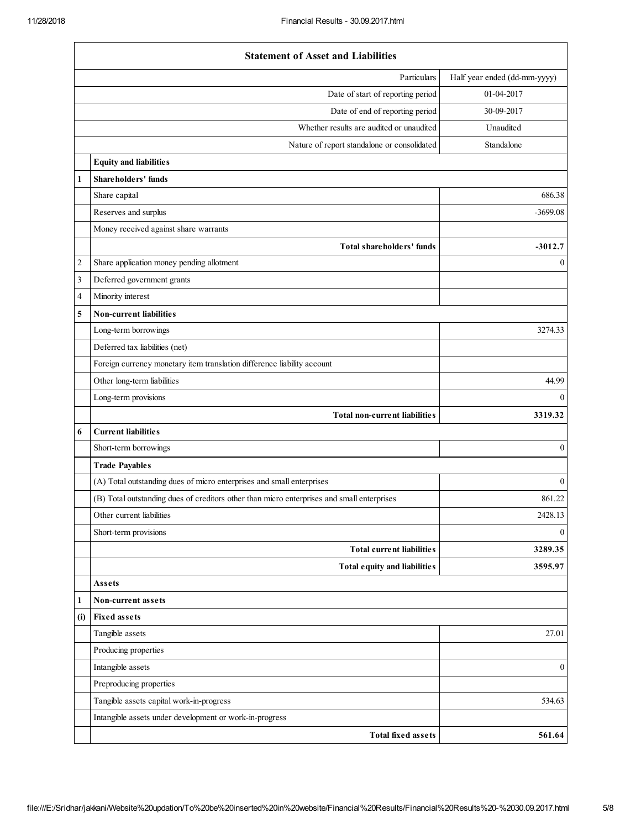$\mathbf{r}$ 

|                         | <b>Statement of Asset and Liabilities</b>                                                  |                              |
|-------------------------|--------------------------------------------------------------------------------------------|------------------------------|
|                         | Particulars                                                                                | Half year ended (dd-mm-yyyy) |
|                         | Date of start of reporting period                                                          | 01-04-2017                   |
|                         | Date of end of reporting period                                                            | 30-09-2017                   |
|                         | Whether results are audited or unaudited                                                   | Unaudited                    |
|                         | Nature of report standalone or consolidated                                                | Standalone                   |
|                         | <b>Equity and liabilities</b>                                                              |                              |
| 1                       | Shareholders' funds                                                                        |                              |
|                         | Share capital                                                                              | 686.38                       |
|                         | Reserves and surplus                                                                       | $-3699.08$                   |
|                         | Money received against share warrants                                                      |                              |
|                         | Total shareholders' funds                                                                  | $-3012.7$                    |
| $\overline{\mathbf{c}}$ | Share application money pending allotment                                                  | $\boldsymbol{0}$             |
| 3                       | Deferred government grants                                                                 |                              |
| 4                       | Minority interest                                                                          |                              |
| 5                       | Non-current liabilities                                                                    |                              |
|                         | Long-term borrowings                                                                       | 3274.33                      |
|                         | Deferred tax liabilities (net)                                                             |                              |
|                         | Foreign currency monetary item translation difference liability account                    |                              |
|                         | Other long-term liabilities                                                                | 44.99                        |
|                         | Long-term provisions                                                                       | $\mathbf{0}$                 |
|                         | Total non-current liabilities                                                              | 3319.32                      |
| 6                       | <b>Current liabilities</b>                                                                 |                              |
|                         | Short-term borrowings                                                                      | $\boldsymbol{0}$             |
|                         | <b>Trade Payables</b>                                                                      |                              |
|                         | (A) Total outstanding dues of micro enterprises and small enterprises                      | $\mathbf{0}$                 |
|                         | (B) Total outstanding dues of creditors other than micro enterprises and small enterprises | 861.22                       |
|                         | Other current liabilities                                                                  | 2428.13                      |
|                         | Short-term provisions                                                                      | $\boldsymbol{0}$             |
|                         | <b>Total current liabilities</b>                                                           | 3289.35                      |
|                         | Total equity and liabilities                                                               | 3595.97                      |
|                         | Assets                                                                                     |                              |
| 1                       | Non-current assets                                                                         |                              |
| (i)                     | <b>Fixed assets</b>                                                                        |                              |
|                         | Tangible assets                                                                            | 27.01                        |
|                         | Producing properties                                                                       |                              |
|                         | Intangible assets                                                                          | $\boldsymbol{0}$             |
|                         | Preproducing properties                                                                    |                              |
|                         | Tangible assets capital work-in-progress                                                   | 534.63                       |
|                         | Intangible assets under development or work-in-progress                                    |                              |
|                         | <b>Total fixed assets</b>                                                                  | 561.64                       |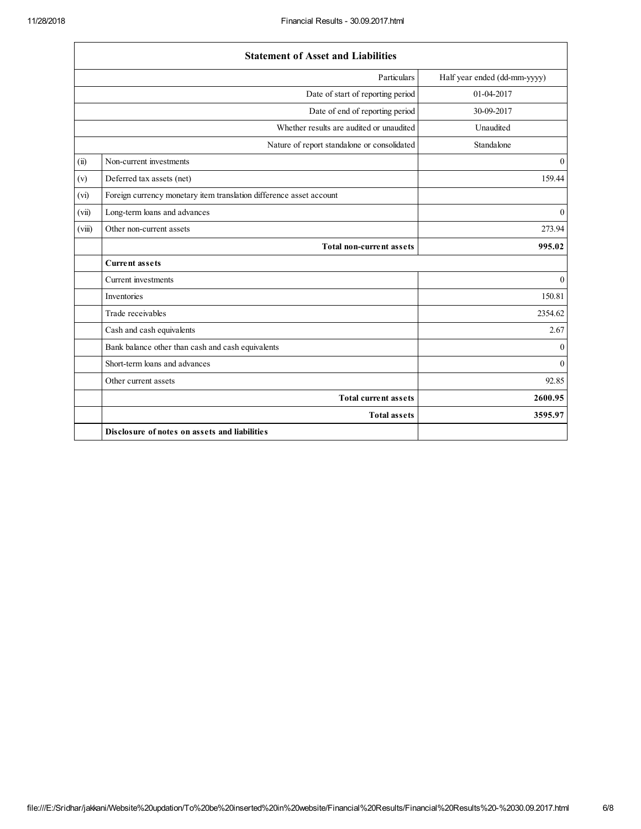$\Gamma$ 

|        | <b>Statement of Asset and Liabilities</b>                           |                              |
|--------|---------------------------------------------------------------------|------------------------------|
|        | Particulars                                                         | Half year ended (dd-mm-yyyy) |
|        | Date of start of reporting period                                   | 01-04-2017                   |
|        | Date of end of reporting period                                     | 30-09-2017                   |
|        | Whether results are audited or unaudited                            | Unaudited                    |
|        | Nature of report standalone or consolidated                         | Standalone                   |
| (ii)   | Non-current investments                                             | $\mathbf{0}$                 |
| (v)    | Deferred tax assets (net)                                           | 159.44                       |
| (vi)   | Foreign currency monetary item translation difference asset account |                              |
| (vii)  | Long-term loans and advances                                        | $\overline{0}$               |
| (viii) | Other non-current assets                                            | 273.94                       |
|        | <b>Total non-current assets</b>                                     | 995.02                       |
|        | <b>Current assets</b>                                               |                              |
|        | Current investments                                                 | $\overline{0}$               |
|        | Inventories                                                         | 150.81                       |
|        | Trade receivables                                                   | 2354.62                      |
|        | Cash and cash equivalents                                           | 2.67                         |
|        | Bank balance other than cash and cash equivalents                   | $\mathbf{0}$                 |
|        | Short-term loans and advances                                       | $\mathbf{0}$                 |
|        | Other current assets                                                | 92.85                        |
|        | <b>Total current assets</b>                                         | 2600.95                      |
|        | <b>Total assets</b>                                                 | 3595.97                      |
|        | Disclosure of notes on assets and liabilities                       |                              |